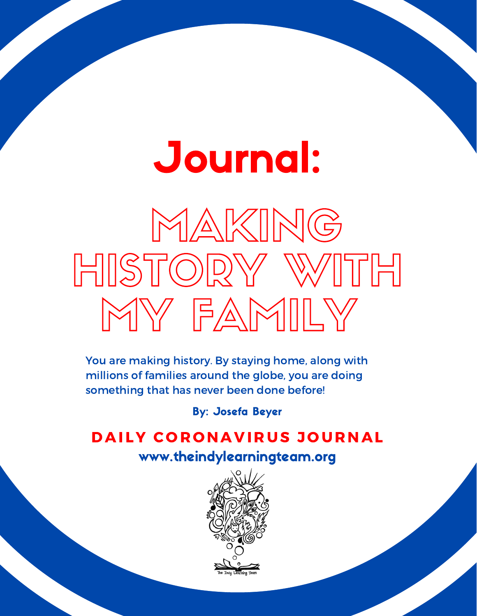## Journal:

# MAKING HISTORY WITH MY FAMILY

You are making history. By staying home, along with millions of families around the globe, you are doing something that has never been done before!

## By: Josefa Beyer

## DAILY CORONAVIRUS JOURNAL www.theindylearningteam.org

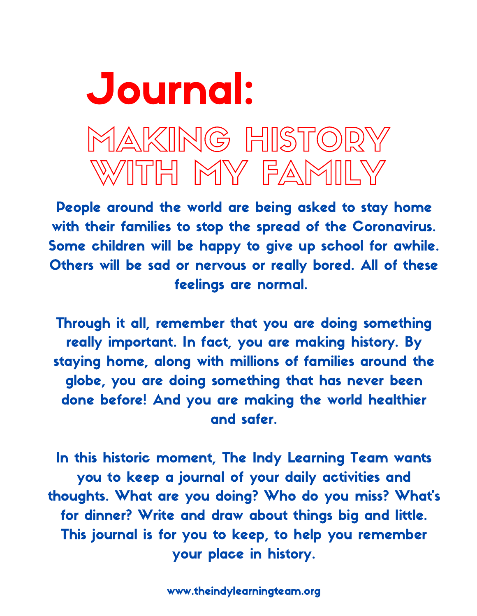## MAKING HISTORY WITH MY FAMILY Journal:

People around the world are being asked to stay home with their families to stop the spread of the Coronavirus. Some children will be happy to give up school for awhile. Others will be sad or nervous or really bored. All of these feelings are normal.

Through it all, remember that you are doing something really important. In fact, you are making history. By staying home, along with millions of families around the globe, you are doing something that has never been done before! And you are making the world healthier and safer.

In this historic moment, The Indy Learning Team wants you to keep a journal of your daily activities and thoughts. What are you doing? Who do you miss? What's for dinner? Write and draw about things big and little. This journal is for you to keep, to help you remember your place in history.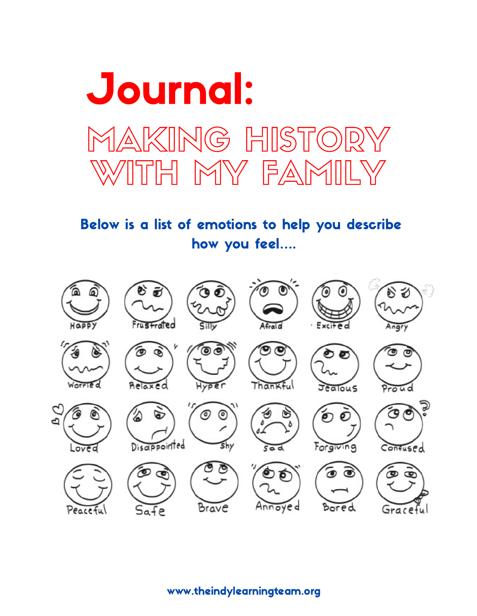

Below is a list of emotions to help you describe how you feel….

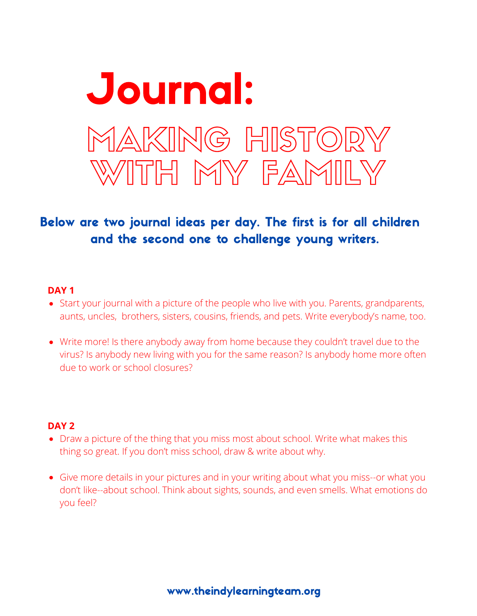

#### **DAY 1**

- Start your journal with a picture of the people who live with you. Parents, grandparents, aunts, uncles, brothers, sisters, cousins, friends, and pets. Write everybody's name, too.
- Write more! Is there anybody away from home because they couldn't travel due to the virus? Is anybody new living with you for the same reason? Is anybody home more often due to work or school closures?

- Draw a picture of the thing that you miss most about school. Write what makes this thing so great. If you don't miss school, draw & write about why.
- Give more details in your pictures and in your writing about what you miss--or what you don't like--about school. Think about sights, sounds, and even smells. What emotions do you feel?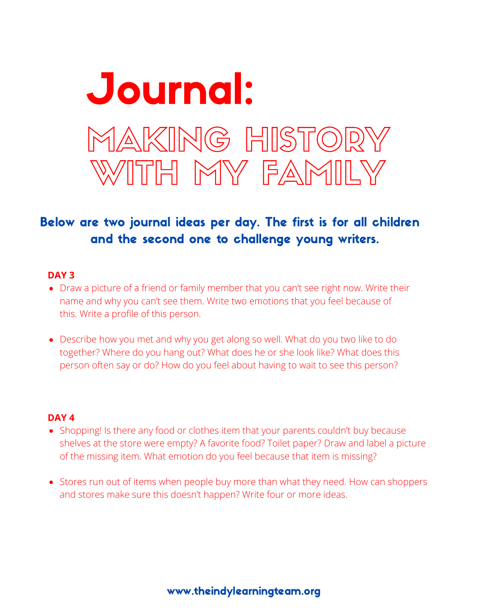

#### **DAY 3**

- Draw a picture of a friend or family member that you can't see right now. Write their name and why you can't see them. Write two emotions that you feel because of this. Write a profile of this person.
- Describe how you met and why you get along so well. What do you two like to do together? Where do you hang out? What does he or she look like? What does this person often say or do? How do you feel about having to wait to see this person?

- Shopping! Is there any food or clothes item that your parents couldn't buy because shelves at the store were empty? A favorite food? Toilet paper? Draw and label a picture of the missing item. What emotion do you feel because that item is missing?
- Stores run out of items when people buy more than what they need. How can shoppers and stores make sure this doesn't happen? Write four or more ideas.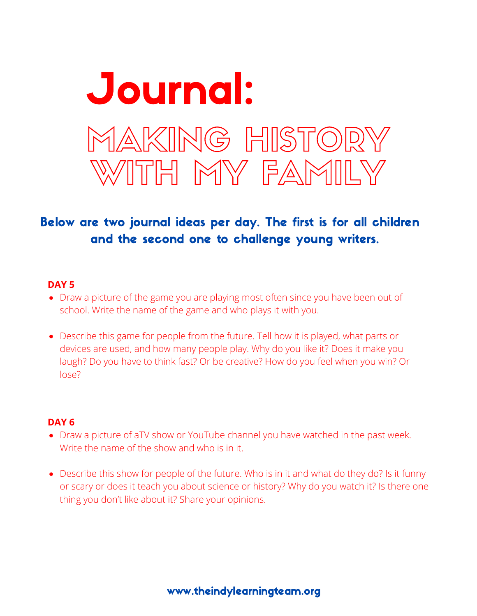

#### **DAY 5**

- Draw a picture of the game you are playing most often since you have been out of school. Write the name of the game and who plays it with you.
- Describe this game for people from the future. Tell how it is played, what parts or devices are used, and how many people play. Why do you like it? Does it make you laugh? Do you have to think fast? Or be creative? How do you feel when you win? Or lose?

- Draw a picture of aTV show or YouTube channel you have watched in the past week. Write the name of the show and who is in it.
- Describe this show for people of the future. Who is in it and what do they do? Is it funny or scary or does it teach you about science or history? Why do you watch it? Is there one thing you don't like about it? Share your opinions.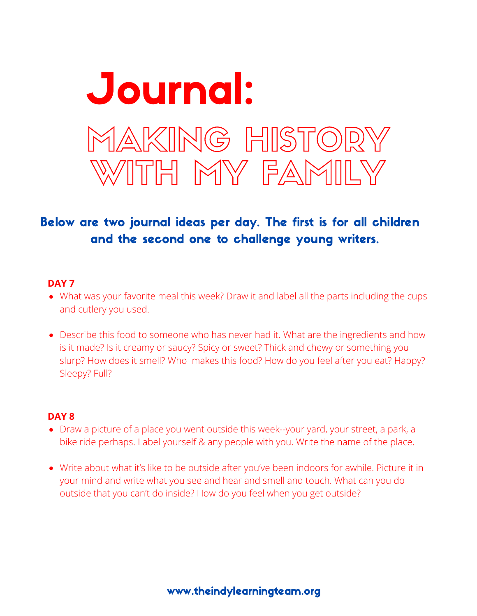

## **DAY 7**

- What was your favorite meal this week? Draw it and label all the parts including the cups and cutlery you used.
- Describe this food to someone who has never had it. What are the ingredients and how is it made? Is it creamy or saucy? Spicy or sweet? Thick and chewy or something you slurp? How does it smell? Who makes this food? How do you feel after you eat? Happy? Sleepy? Full?

- Draw a picture of a place you went outside this week--your yard, your street, a park, a bike ride perhaps. Label yourself & any people with you. Write the name of the place.
- Write about what it's like to be outside after you've been indoors for awhile. Picture it in your mind and write what you see and hear and smell and touch. What can you do outside that you can't do inside? How do you feel when you get outside?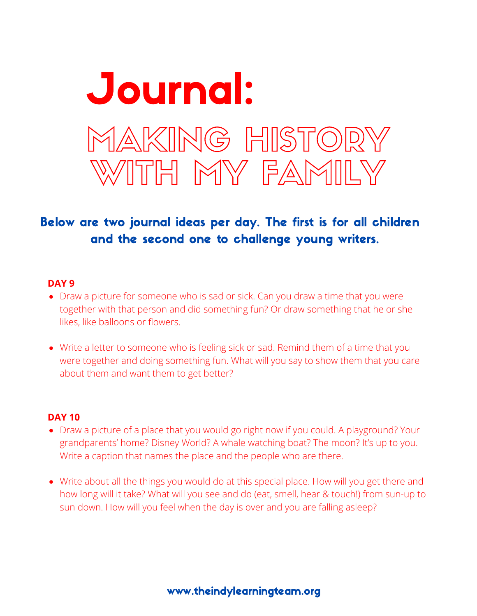

#### **DAY 9**

- Draw a picture for someone who is sad or sick. Can you draw a time that you were together with that person and did something fun? Or draw something that he or she likes, like balloons or flowers.
- Write a letter to someone who is feeling sick or sad. Remind them of a time that you were together and doing something fun. What will you say to show them that you care about them and want them to get better?

- Draw a picture of a place that you would go right now if you could. A playground? Your grandparents' home? Disney World? A whale watching boat? The moon? It's up to you. Write a caption that names the place and the people who are there.
- Write about all the things you would do at this special place. How will you get there and how long will it take? What will you see and do (eat, smell, hear & touch!) from sun-up to sun down. How will you feel when the day is over and you are falling asleep?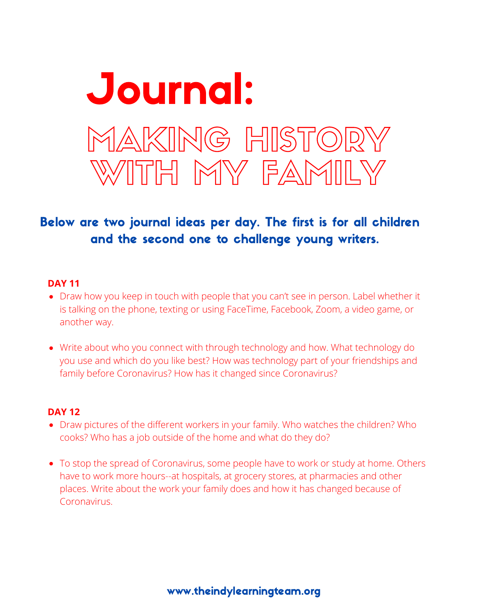

## **DAY 11**

- Draw how you keep in touch with people that you can't see in person. Label whether it is talking on the phone, texting or using FaceTime, Facebook, Zoom, a video game, or another way.
- Write about who you connect with through technology and how. What technology do you use and which do you like best? How was technology part of your friendships and family before Coronavirus? How has it changed since Coronavirus?

- Draw pictures of the different workers in your family. Who watches the children? Who cooks? Who has a job outside of the home and what do they do?
- To stop the spread of Coronavirus, some people have to work or study at home. Others have to work more hours--at hospitals, at grocery stores, at pharmacies and other places. Write about the work your family does and how it has changed because of Coronavirus.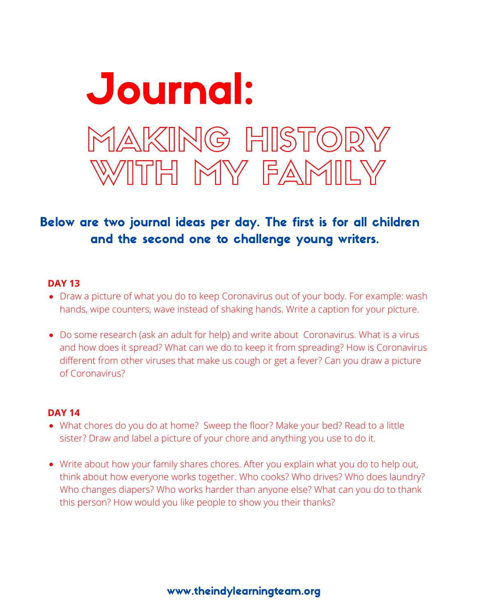

## **DAY 13**

- Draw a picture of what you do to keep Coronavirus out of your body. For example: wash hands, wipe counters, wave instead of shaking hands. Write a caption for your picture.
- Do some research (ask an adult for help) and write about Coronavirus. What is a virus and how does it spread? What can we do to keep it from spreading? How is Coronavirus different from other viruses that make us cough or get a fever? Can you draw a picture of Coronavirus?

- What chores do you do at home? Sweep the floor? Make your bed? Read to a little sister? Draw and label a picture of your chore and anything you use to do it.
- Write about how your family shares chores. After you explain what you do to help out, think about how everyone works together. Who cooks? Who drives? Who does laundry? Who changes diapers? Who works harder than anyone else? What can you do to thank this person? How would you like people to show you their thanks?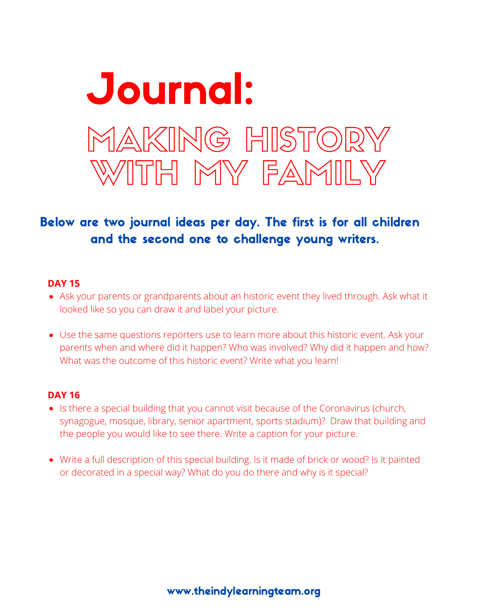

## **DAY 15**

- Ask your parents or grandparents about an historic event they lived through. Ask what it looked like so you can draw it and label your picture.
- Use the same questions reporters use to learn more about this historic event. Ask your parents when and where did it happen? Who was involved? Why did it happen and how? What was the outcome of this historic event? Write what you learn!

- Is there a special building that you cannot visit because of the Coronavirus (church, synagogue, mosque, library, senior apartment, sports stadium)? Draw that building and the people you would like to see there. Write a caption for your picture.
- Write a full description of this special building. Is it made of brick or wood? Is it painted or decorated in a special way? What do you do there and why is it special?